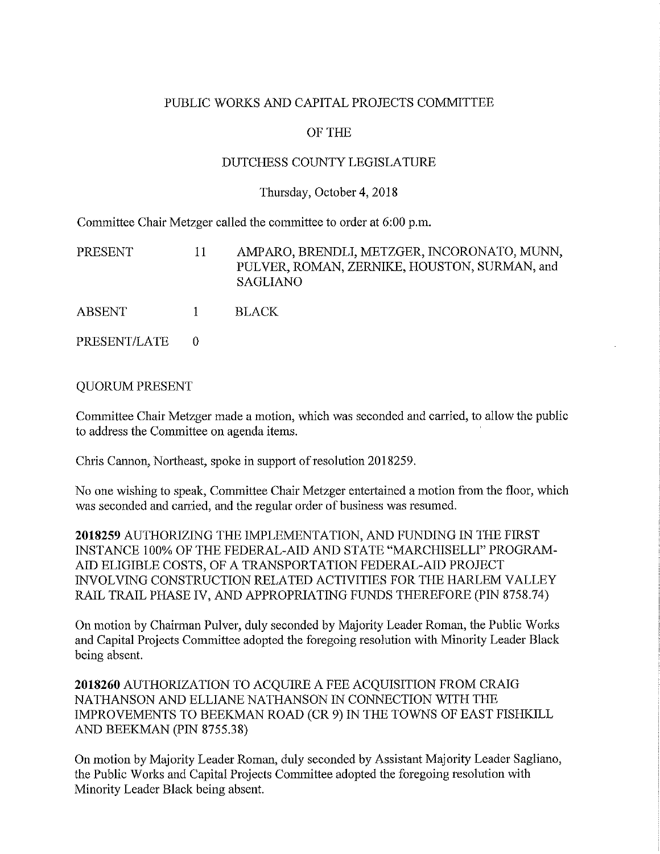## PUBLIC WORKS AND CAPITAL PROJECTS COMMITTEE

## OF THE

## DUTCHESS COUNTY LEGISLATURE

#### Thursday, October 4, 2018

Committee Chair Metzger called the committee to order at 6:00 p.m.

| <b>PRESENT</b> | 11           | AMPARO, BRENDLI, METZGER, INCORONATO, MUNN,<br>PULVER, ROMAN, ZERNIKE, HOUSTON, SURMAN, and<br><b>SAGLIANO</b> |
|----------------|--------------|----------------------------------------------------------------------------------------------------------------|
| <b>ABSENT</b>  | $\mathbf{1}$ | BLACK.                                                                                                         |
| PRESENT/LATE   |              |                                                                                                                |

### QUORUM PRESENT

Committee Chair Metzger made a motion, which was seconded and carried, to allow the public to address the Committee on agenda items.

Chris Cannon, Northeast, spoke in support of resolution 2018259.

No one wishing to speak, Committee Chair Metzger entertained a motion from the floor, which was seconded and canied, and the regular order of business was resumed.

**2018259** AUTHORIZING THE IMPLEMENTATION, AND FUNDING IN THE FIRST INSTANCE 100% OF THE FEDERAL-AID AND STATE "MARCHISELLI" PROGRAM-AID ELIGIBLE COSTS, OF A TRANSPORTATION FEDERAL-AID PROJECT INVOLVING CONSTRUCTION RELATED ACTIVITIES FOR THE HARLEM VALLEY RAIL TRAIL PHASE IV, AND APPROPRIATING FUNDS THEREFORE (PIN 8758.74)

On motion by Chaitman Pulver, duly seconded by Majority Leader Roman, the Public Works and Capital Projects Committee adopted the foregoing resolution with Minority Leader Black being absent.

**2018260** AUTHORIZATION TO ACQUIRE A FEE ACQUISITION FROM CRAIG NATHANSON AND ELLIANE NATHANSON IN CONNECTION WITH THE IMPROVEMENTS TO BEEKMAN ROAD (CR 9) IN THE TOWNS OF EAST FISHKILL AND BEEKMAN (PIN 8755.38)

On motion by Majority Leader Roman, duly seconded by Assistant Majority Leader Sagliano, the Public Works and Capital Projects Committee adopted the foregoing resolution with Minority Leader Black being absent.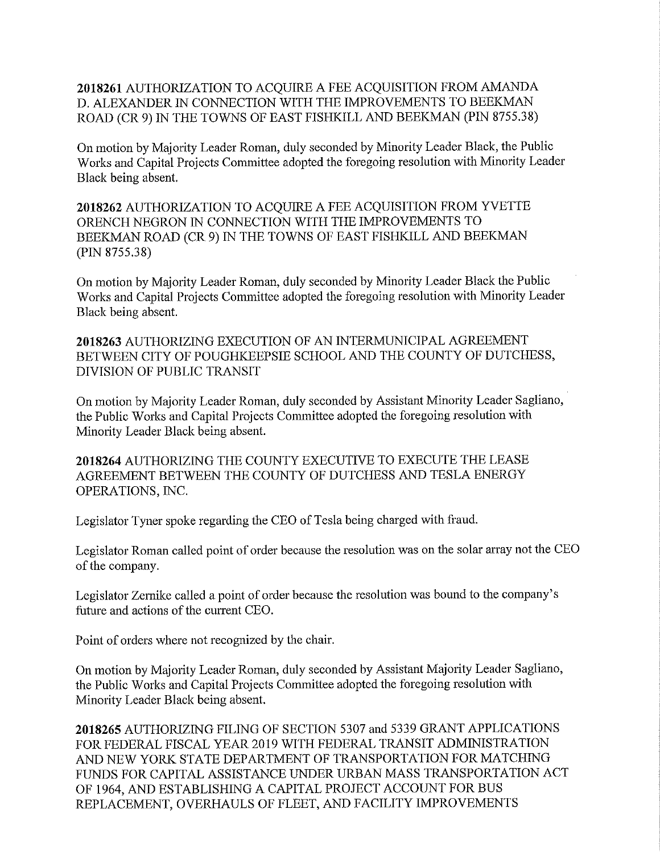# **2018261** AUTHORIZATION TO ACQUIRE A FEE ACQUISITION FROM AMANDA D. ALEXANDER IN CONNECTION WITH THE IMPROVEMENTS TO BEEKMAN ROAD (CR 9) IN THE TOWNS OF EAST FISHKILL AND BEEKMAN (PIN 8755.38)

On motion by Majority Leader Roman, duly seconded by Minority Leader Black, the Public Works and Capital Projects Committee adopted the foregoing resolution with Minority Leader Black being absent.

**2018262** AUTHORIZATION TO ACQUIRE A FEE ACQUISITION FROM YVETTE ORENCH NEGRON IN CONNECTION WITH THE IMPROVEMENTS TO BEEKMAN ROAD (CR 9) IN THE TOWNS OF EAST FISHKILL AND BEEKMAN (PIN 8755.38)

On motion by Majority Leader Roman, duly seconded by Minority Leader Black the Public Works and Capital Projects Committee adopted the foregoing resolution with Minority Leader Black being absent.

**2018263** AUTHORIZING EXECUTION OF AN INTERMUNICIPAL AGREEMENT BETWEEN CITY OF POUGHKEEPSIE SCHOOL AND THE COUNTY OF DUTCHESS, DIVISION OF PUBLIC TRANSIT

On motion by Majority Leader Roman, duly seconded by Assistant Minority Leader Sagliano, the Public Works and Capital Projects Committee adopted the foregoing resolution with Minority Leader Black being absent.

**2018264** AUTHORIZING THE COUNTY EXECUTIVE TO EXECUTE THE LEASE AGREEMENT BETWEEN THE COUNTY OF DUTCHESS AND TESLA ENERGY OPERATIONS, INC.

Legislator Tyner spoke regarding the CEO of Tesla being charged with fraud.

Legislator Roman called point of order because the resolution was on the solar array not the CEO of the company.

Legislator Zemike called a point of order because the resolution was bound to the company's future and actions of the current CEO.

Point of orders where not recognized by the chair.

On motion by Majority Leader Roman, duly seconded by Assistant Majority Leader Sagliano, the Public Works and Capital Projects Committee adopted the foregoing resolution with Minority Leader Black being absent.

**2018265** AUTHORIZING FILING OF SECTION 5307 and 5339 GRANT APPLICATIONS FOR FEDERAL FISCAL YEAR 2019 WITH FEDERAL TRANSIT ADMINISTRATION AND NEW YORK STATE DEPARTMENT OF TRANSPORTATION FOR MATCHING FUNDS FOR CAPITAL ASSISTANCE UNDER URBAN MASS TRANSPORTATION ACT OF 1964, AND ESTABLISHING A CAPITAL PROJECT ACCOUNT FOR BUS REPLACEMENT, OVERHAULS OF FLEET, AND FACILITY IMPROVEMENTS